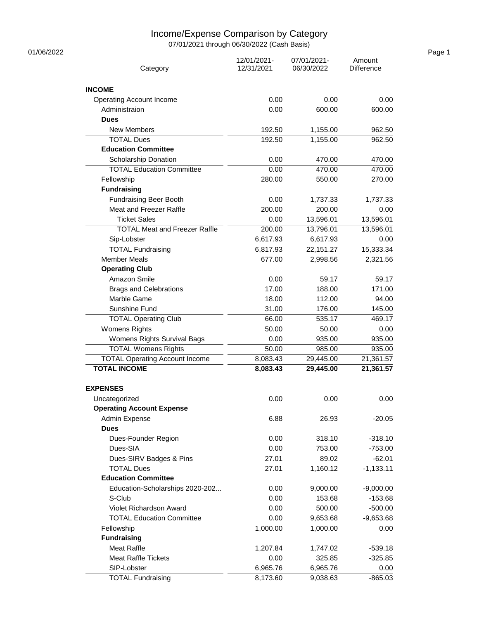## Income/Expense Comparison by Category

07/01/2021 through 06/30/2022 (Cash Basis)

| 01/06/2022 |                                       |                           |                           |                      | Page 1 |
|------------|---------------------------------------|---------------------------|---------------------------|----------------------|--------|
|            | Category                              | 12/01/2021-<br>12/31/2021 | 07/01/2021-<br>06/30/2022 | Amount<br>Difference |        |
|            |                                       |                           |                           |                      |        |
|            | <b>INCOME</b>                         |                           |                           |                      |        |
|            | <b>Operating Account Income</b>       | 0.00                      | 0.00                      | 0.00                 |        |
|            | Administraion                         | 0.00                      | 600.00                    | 600.00               |        |
|            | <b>Dues</b>                           |                           |                           |                      |        |
|            | New Members                           | 192.50                    | 1,155.00                  | 962.50               |        |
|            | <b>TOTAL Dues</b>                     | 192.50                    | 1,155.00                  | 962.50               |        |
|            | <b>Education Committee</b>            |                           |                           |                      |        |
|            | Scholarship Donation                  | 0.00                      | 470.00                    | 470.00               |        |
|            | <b>TOTAL Education Committee</b>      | 0.00                      | 470.00                    | 470.00               |        |
|            | Fellowship                            | 280.00                    | 550.00                    | 270.00               |        |
|            | <b>Fundraising</b>                    |                           |                           |                      |        |
|            | <b>Fundraising Beer Booth</b>         | 0.00                      | 1,737.33                  | 1,737.33             |        |
|            | Meat and Freezer Raffle               | 200.00                    | 200.00                    | 0.00                 |        |
|            | <b>Ticket Sales</b>                   | 0.00                      | 13,596.01                 | 13,596.01            |        |
|            | <b>TOTAL Meat and Freezer Raffle</b>  | 200.00                    | 13,796.01                 | 13,596.01            |        |
|            | Sip-Lobster                           | 6,617.93                  | 6,617.93                  | 0.00                 |        |
|            | <b>TOTAL Fundraising</b>              | 6,817.93                  | 22,151.27                 | 15,333.34            |        |
|            | <b>Member Meals</b>                   | 677.00                    | 2,998.56                  | 2,321.56             |        |
|            | <b>Operating Club</b>                 |                           |                           |                      |        |
|            | Amazon Smile                          | 0.00                      | 59.17                     | 59.17                |        |
|            | <b>Brags and Celebrations</b>         | 17.00                     | 188.00                    | 171.00               |        |
|            | Marble Game                           | 18.00                     | 112.00                    | 94.00                |        |
|            | Sunshine Fund                         | 31.00                     | 176.00                    | 145.00               |        |
|            | <b>TOTAL Operating Club</b>           | 66.00                     | 535.17                    | 469.17               |        |
|            | <b>Womens Rights</b>                  | 50.00                     | 50.00                     | 0.00                 |        |
|            | Womens Rights Survival Bags           | 0.00                      | 935.00                    | 935.00               |        |
|            | <b>TOTAL Womens Rights</b>            | 50.00                     | 985.00                    | 935.00               |        |
|            | <b>TOTAL Operating Account Income</b> | 8,083.43                  | 29,445.00                 | 21,361.57            |        |
|            | <b>TOTAL INCOME</b>                   | 8,083.43                  | 29,445.00                 | 21,361.57            |        |
|            | <b>EXPENSES</b>                       |                           |                           |                      |        |
|            | Uncategorized                         | 0.00                      | 0.00                      | 0.00                 |        |
|            | <b>Operating Account Expense</b>      |                           |                           |                      |        |
|            | Admin Expense<br><b>Dues</b>          | 6.88                      | 26.93                     | $-20.05$             |        |
|            | Dues-Founder Region                   | 0.00                      | 318.10                    | $-318.10$            |        |
|            | Dues-SIA                              | 0.00                      | 753.00                    | $-753.00$            |        |
|            | Dues-SIRV Badges & Pins               | 27.01                     | 89.02                     | $-62.01$             |        |
|            | <b>TOTAL Dues</b>                     | 27.01                     | 1,160.12                  | $-1,133.11$          |        |
|            | <b>Education Committee</b>            |                           |                           |                      |        |
|            | Education-Scholarships 2020-202       | 0.00                      | 9,000.00                  | $-9,000.00$          |        |
|            | S-Club                                | 0.00                      | 153.68                    | $-153.68$            |        |
|            | Violet Richardson Award               | 0.00                      | 500.00                    | $-500.00$            |        |
|            | <b>TOTAL Education Committee</b>      | 0.00                      | 9,653.68                  | $-9,653.68$          |        |
|            | Fellowship                            | 1,000.00                  | 1,000.00                  | 0.00                 |        |
|            | <b>Fundraising</b>                    |                           |                           |                      |        |
|            | Meat Raffle                           | 1,207.84                  | 1,747.02                  | $-539.18$            |        |
|            | <b>Meat Raffle Tickets</b>            | 0.00                      | 325.85                    | $-325.85$            |        |
|            | SIP-Lobster                           | 6,965.76                  | 6,965.76                  | 0.00                 |        |
|            | <b>TOTAL Fundraising</b>              | 8,173.60                  | 9,038.63                  | $-865.03$            |        |
|            |                                       |                           |                           |                      |        |